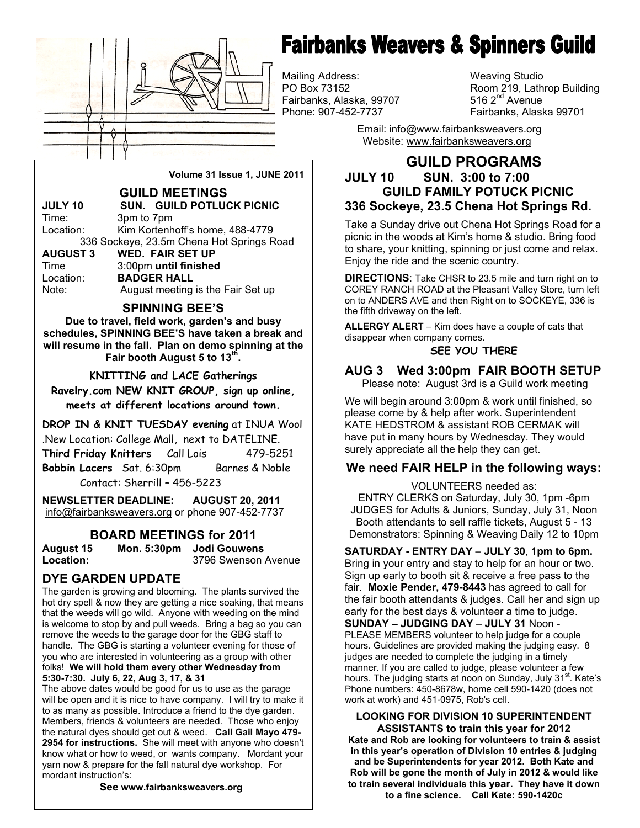

# **Fairbanks Weavers & Spinners Guild**

Mailing Address: Weaving Studio Fairbanks, Alaska, 99707<br>Phone: 907-452-7737

PO Box 73152 Room 219, Lathrop Building<br>Fairbanks, Alaska, 99707 516 2<sup>nd</sup> Avenue Fairbanks, Alaska 99701

> Email: info@www.fairbanksweavers.org Website: www.fairbanksweavers.org

# **GUILD PROGRAMS JULY 10 SUN. 3:00 to 7:00 GUILD FAMILY POTUCK PICNIC 336 Sockeye, 23.5 Chena Hot Springs Rd.**

Take a Sunday drive out Chena Hot Springs Road for a picnic in the woods at Kim's home & studio. Bring food to share, your knitting, spinning or just come and relax. Enjoy the ride and the scenic country.

**DIRECTIONS**: Take CHSR to 23.5 mile and turn right on to COREY RANCH ROAD at the Pleasant Valley Store, turn left on to ANDERS AVE and then Right on to SOCKEYE, 336 is the fifth driveway on the left.

**ALLERGY ALERT** – Kim does have a couple of cats that disappear when company comes.

#### **SEE YOU THERE**

# **AUG 3 Wed 3:00pm FAIR BOOTH SETUP**

Please note: August 3rd is a Guild work meeting

We will begin around 3:00pm & work until finished, so please come by & help after work. Superintendent KATE HEDSTROM & assistant ROB CERMAK will have put in many hours by Wednesday. They would surely appreciate all the help they can get.

## **We need FAIR HELP in the following ways:**

VOLUNTEERS needed as: ENTRY CLERKS on Saturday, July 30, 1pm -6pm JUDGES for Adults & Juniors, Sunday, July 31, Noon Booth attendants to sell raffle tickets, August 5 - 13 Demonstrators: Spinning & Weaving Daily 12 to 10pm

**SATURDAY - ENTRY DAY** – **JULY 30**, **1pm to 6pm.** Bring in your entry and stay to help for an hour or two. Sign up early to booth sit & receive a free pass to the fair. **Moxie Pender, 479-8443** has agreed to call for the fair booth attendants & judges. Call her and sign up early for the best days & volunteer a time to judge. **SUNDAY – JUDGING DAY** – **JULY 31** Noon - PLEASE MEMBERS volunteer to help judge for a couple hours. Guidelines are provided making the judging easy. 8 judges are needed to complete the judging in a timely manner. If you are called to judge, please volunteer a few hours. The judging starts at noon on Sunday, July 31<sup>st</sup>. Kate's Phone numbers: 450-8678w, home cell 590-1420 (does not work at work) and 451-0975, Rob's cell.

#### **LOOKING FOR DIVISION 10 SUPERINTENDENT ASSISTANTS to train this year for 2012**

**Kate and Rob are looking for volunteers to train & assist in this year's operation of Division 10 entries & judging and be Superintendents for year 2012. Both Kate and Rob will be gone the month of July in 2012 & would like to train several individuals this year. They have it down to a fine science. Call Kate: 590-1420c** 

**Volume 31 Issue 1, JUNE 2011** 

# **GUILD MEETINGS JULY 10 SUN. GUILD POTLUCK PICNIC**

Time: 3pm to 7pm Location: Kim Kortenhoff's home, 488-4779 336 Sockeye, 23.5m Chena Hot Springs Road

**AUGUST 3 WED. FAIR SET UP**  Time 3:00pm **until finished**  Location: **BADGER HALL** Note: August meeting is the Fair Set up

#### **SPINNING BEE'S**

**Due to travel, field work, garden's and busy schedules, SPINNING BEE'S have taken a break and will resume in the fall. Plan on demo spinning at the Fair booth August 5 to 13th.** 

**KNITTING and LACE Gatherings** 

**Ravelry.com NEW KNIT GROUP, sign up online, meets at different locations around town.**

**DROP IN & KNIT TUESDAY evening** at INUA Wool .New Location: College Mall, next to DATELINE. **Third Friday Knitters** Call Lois 479-5251 **Bobbin Lacers** Sat. 6:30pm Barnes & Noble Contact: Sherrill – 456-5223

**NEWSLETTER DEADLINE: AUGUST 20, 2011**  info@fairbanksweavers.org or phone 907-452-7737

# **BOARD MEETINGS for 2011**

**August 15 Mon. 5:30pm Jodi Gouwens Location:** 3796 Swenson Avenue

# **DYE GARDEN UPDATE**

The garden is growing and blooming. The plants survived the hot dry spell & now they are getting a nice soaking, that means that the weeds will go wild. Anyone with weeding on the mind is welcome to stop by and pull weeds. Bring a bag so you can remove the weeds to the garage door for the GBG staff to handle. The GBG is starting a volunteer evening for those of you who are interested in volunteering as a group with other folks! **We will hold them every other Wednesday from 5:30-7:30. July 6, 22, Aug 3, 17, & 31**

The above dates would be good for us to use as the garage will be open and it is nice to have company. I will try to make it to as many as possible. Introduce a friend to the dye garden. Members, friends & volunteers are needed. Those who enjoy the natural dyes should get out & weed. **Call Gail Mayo 479- 2954 for instructions.** She will meet with anyone who doesn't know what or how to weed, or wants company. Mordant your yarn now & prepare for the fall natural dye workshop. For mordant instruction's:

**See www.fairbanksweavers.org**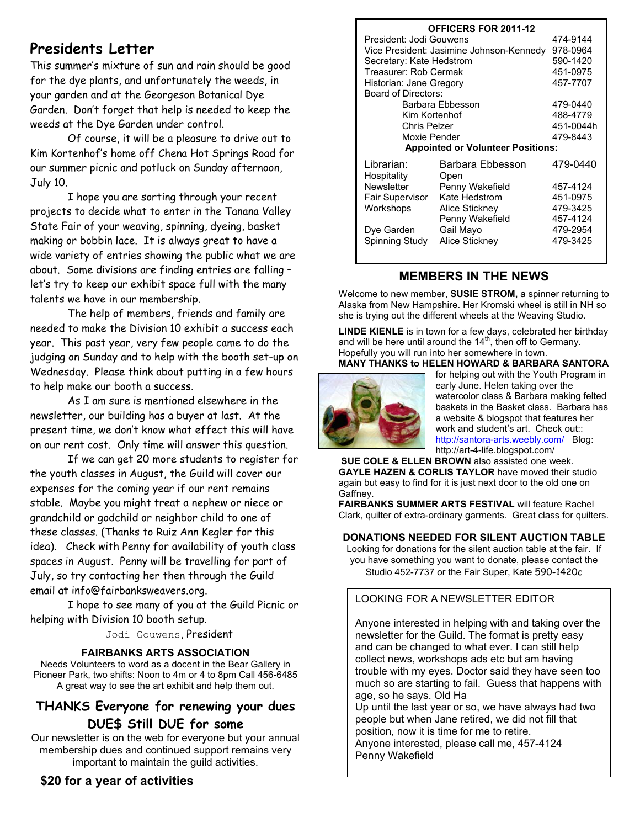# **Presidents Letter**

This summer's mixture of sun and rain should be good for the dye plants, and unfortunately the weeds, in your garden and at the Georgeson Botanical Dye Garden. Don't forget that help is needed to keep the weeds at the Dye Garden under control.

 Of course, it will be a pleasure to drive out to Kim Kortenhof's home off Chena Hot Springs Road for our summer picnic and potluck on Sunday afternoon, July 10.

 I hope you are sorting through your recent projects to decide what to enter in the Tanana Valley State Fair of your weaving, spinning, dyeing, basket making or bobbin lace. It is always great to have a wide variety of entries showing the public what we are about. Some divisions are finding entries are falling – let's try to keep our exhibit space full with the many talents we have in our membership.

 The help of members, friends and family are needed to make the Division 10 exhibit a success each year. This past year, very few people came to do the judging on Sunday and to help with the booth set-up on Wednesday. Please think about putting in a few hours to help make our booth a success.

 As I am sure is mentioned elsewhere in the newsletter, our building has a buyer at last. At the present time, we don't know what effect this will have on our rent cost. Only time will answer this question.

 If we can get 20 more students to register for the youth classes in August, the Guild will cover our expenses for the coming year if our rent remains stable. Maybe you might treat a nephew or niece or grandchild or godchild or neighbor child to one of these classes. (Thanks to Ruiz Ann Kegler for this idea). Check with Penny for availability of youth class spaces in August. Penny will be travelling for part of July, so try contacting her then through the Guild email at info@fairbanksweavers.org.

 I hope to see many of you at the Guild Picnic or helping with Division 10 booth setup.

Jodi Gouwens, President

#### **FAIRBANKS ARTS ASSOCIATION**

Needs Volunteers to word as a docent in the Bear Gallery in Pioneer Park, two shifts: Noon to 4m or 4 to 8pm Call 456-6485 A great way to see the art exhibit and help them out.

# **THANKS Everyone for renewing your dues DUE\$ Still DUE for some**

Our newsletter is on the web for everyone but your annual membership dues and continued support remains very important to maintain the guild activities.

# **\$20 for a year of activities**

#### **OFFICERS FOR 2011-12**

| President: Jodi Gouwens<br>Vice President: Jasimine Johnson-Kennedy<br>Secretary: Kate Hedstrom<br>Treasurer: Rob Cermak<br>Historian: Jane Gregory<br>Board of Directors: | 474-9144<br>978-0964<br>590-1420<br>451-0975<br>457-7707<br>479-0440                  |  |  |
|----------------------------------------------------------------------------------------------------------------------------------------------------------------------------|---------------------------------------------------------------------------------------|--|--|
| Kim Kortenhof                                                                                                                                                              |                                                                                       |  |  |
| Chris Pelzer<br>Moxie Pender                                                                                                                                               |                                                                                       |  |  |
|                                                                                                                                                                            |                                                                                       |  |  |
| Barbara Ebbesson<br>Open                                                                                                                                                   | 479-0440                                                                              |  |  |
| Penny Wakefield                                                                                                                                                            | 457-4124                                                                              |  |  |
| Kate Hedstrom                                                                                                                                                              | 451-0975                                                                              |  |  |
| Alice Stickney                                                                                                                                                             | 479-3425                                                                              |  |  |
| Penny Wakefield                                                                                                                                                            | 457-4124                                                                              |  |  |
| Gail Mayo                                                                                                                                                                  | 479-2954                                                                              |  |  |
|                                                                                                                                                                            | 479-3425                                                                              |  |  |
|                                                                                                                                                                            | Barbara Ebbesson<br><b>Appointed or Volunteer Positions:</b><br><b>Alice Stickney</b> |  |  |

# **MEMBERS IN THE NEWS**

Welcome to new member, **SUSIE STROM,** a spinner returning to Alaska from New Hampshire. Her Kromski wheel is still in NH so she is trying out the different wheels at the Weaving Studio.

**LINDE KIENLE** is in town for a few days, celebrated her birthday and will be here until around the 14<sup>th</sup>, then off to Germany. Hopefully you will run into her somewhere in town.

### **MANY THANKS to HELEN HOWARD & BARBARA SANTORA**



for helping out with the Youth Program in early June. Helen taking over the watercolor class & Barbara making felted baskets in the Basket class. Barbara has a website & blogspot that features her work and student's art. Check out:: http://santora-arts.weebly.com/ Blog: http://art-4-life.blogspot.com/

**SUE COLE & ELLEN BROWN** also assisted one week. **GAYLE HAZEN & CORLIS TAYLOR** have moved their studio again but easy to find for it is just next door to the old one on Gaffney.

**FAIRBANKS SUMMER ARTS FESTIVAL** will feature Rachel Clark, quilter of extra-ordinary garments. Great class for quilters.

#### **DONATIONS NEEDED FOR SILENT AUCTION TABLE**

Looking for donations for the silent auction table at the fair. If you have something you want to donate, please contact the Studio 452-7737 or the Fair Super, Kate 590-1420c

#### LOOKING FOR A NEWSLETTER EDITOR

Anyone interested in helping with and taking over the newsletter for the Guild. The format is pretty easy and can be changed to what ever. I can still help collect news, workshops ads etc but am having trouble with my eyes. Doctor said they have seen too much so are starting to fail. Guess that happens with age, so he says. Old Ha

Up until the last year or so, we have always had two people but when Jane retired, we did not fill that position, now it is time for me to retire.

Anyone interested, please call me, 457-4124 Penny Wakefield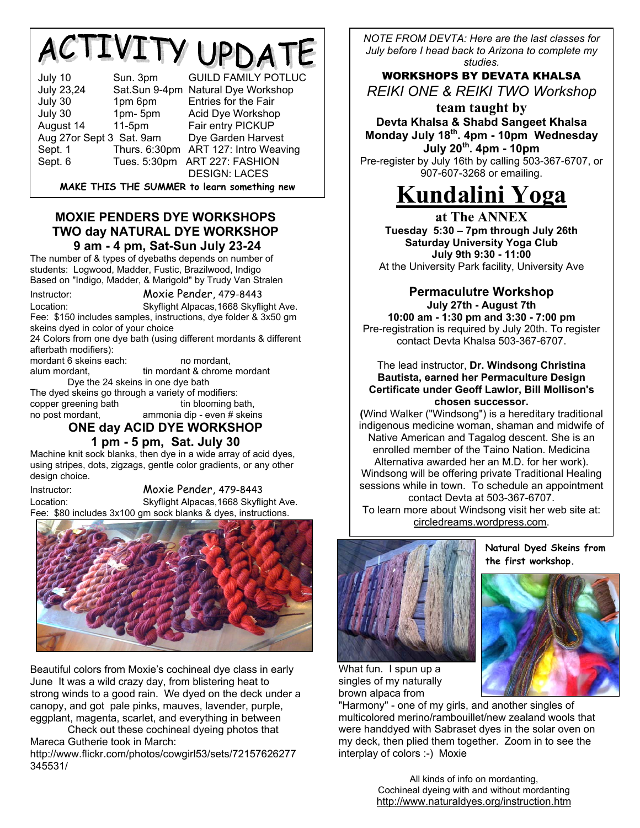# ACTIVITY UPDATE

| July 10                  | Sun. 3pm     | <b>GUILD FAMILY POTLUC</b>           |
|--------------------------|--------------|--------------------------------------|
| <b>July 23,24</b>        |              | Sat.Sun 9-4pm Natural Dye Workshop   |
| July 30                  | 1pm 6pm      | Entries for the Fair                 |
| July 30                  | 1pm-5pm      | Acid Dye Workshop                    |
| August 14                | $11-5pm$     | Fair entry PICKUP                    |
| Aug 27or Sept 3 Sat. 9am |              | Dye Garden Harvest                   |
| Sept. 1                  |              | Thurs. 6:30pm ART 127: Intro Weaving |
| Sept. 6                  | Tues. 5:30pm | ART 227: FASHION                     |
|                          |              | <b>DESIGN: LACES</b>                 |

**MAKE THIS THE SUMMER to learn something new** 

# **MOXIE PENDERS DYE WORKSHOPS TWO day NATURAL DYE WORKSHOP 9 am - 4 pm, Sat-Sun July 23-24**

The number of & types of dyebaths depends on number of students: Logwood, Madder, Fustic, Brazilwood, Indigo Based on "Indigo, Madder, & Marigold" by Trudy Van Stralen

Instructor: Moxie Pender, 479-8443

Location: Skyflight Alpacas,1668 Skyflight Ave. Fee: \$150 includes samples, instructions, dye folder & 3x50 gm skeins dyed in color of your choice

24 Colors from one dye bath (using different mordants & different afterbath modifiers):

mordant 6 skeins each: no mordant, alum mordant, tin mordant & chrome mordant Dye the 24 skeins in one dye bath The dyed skeins go through a variety of modifiers: copper greening bath tin blooming bath, no post mordant, ammonia dip - even # skeins

**ONE day ACID DYE WORKSHOP** 

# **1 pm - 5 pm, Sat. July 30**

Machine knit sock blanks, then dye in a wide array of acid dyes, using stripes, dots, zigzags, gentle color gradients, or any other design choice.

Instructor: Moxie Pender, 479-8443 Location: Skyflight Alpacas,1668 Skyflight Ave. Fee: \$80 includes 3x100 gm sock blanks & dyes, instructions.



Beautiful colors from Moxie's cochineal dye class in early June It was a wild crazy day, from blistering heat to strong winds to a good rain. We dyed on the deck under a canopy, and got pale pinks, mauves, lavender, purple, eggplant, magenta, scarlet, and everything in between

 Check out these cochineal dyeing photos that Mareca Gutherie took in March: http://www.flickr.com/photos/cowgirl53/sets/72157626277 345531/

*NOTE FROM DEVTA: Here are the last classes for July before I head back to Arizona to complete my studies.* 

WORKSHOPS BY DEVATA KHALSA *REIKI ONE & REIKI TWO Workshop*

**team taught by Devta Khalsa & Shabd Sangeet Khalsa Monday July 18th. 4pm - 10pm Wednesday July 20th. 4pm - 10pm**  Pre-register by July 16th by calling 503-367-6707, or 907-607-3268 or emailing.

# . **Kundalini Yoga**

**at The ANNEX Tuesday 5:30 – 7pm through July 26th Saturday University Yoga Club July 9th 9:30 - 11:00**  At the University Park facility, University Ave

**Permaculutre Workshop** 

**July 27th - August 7th 10:00 am - 1:30 pm and 3:30 - 7:00 pm** Pre-registration is required by July 20th. To register contact Devta Khalsa 503-367-6707.

#### The lead instructor, **Dr. Windsong Christina Bautista, earned her Permaculture Design Certificate under Geoff Lawlor, Bill Mollison's chosen successor.**

**(**Wind Walker ("Windsong") is a hereditary traditional indigenous medicine woman, shaman and midwife of Native American and Tagalog descent. She is an enrolled member of the Taino Nation. Medicina Alternativa awarded her an M.D. for her work). Windsong will be offering private Traditional Healing sessions while in town. To schedule an appointment contact Devta at 503-367-6707. To learn more about Windsong visit her web site at: circledreams.wordpress.com.



What fun. I spun up a singles of my naturally brown alpaca from

"Harmony" - one of my girls, and another singles of multicolored merino/rambouillet/new zealand wools that were handdyed with Sabraset dyes in the solar oven on my deck, then plied them together. Zoom in to see the interplay of colors :-) Moxie

> All kinds of info on mordanting, Cochineal dyeing with and without mordanting http://www.naturaldyes.org/instruction.htm



**Natural Dyed Skeins from**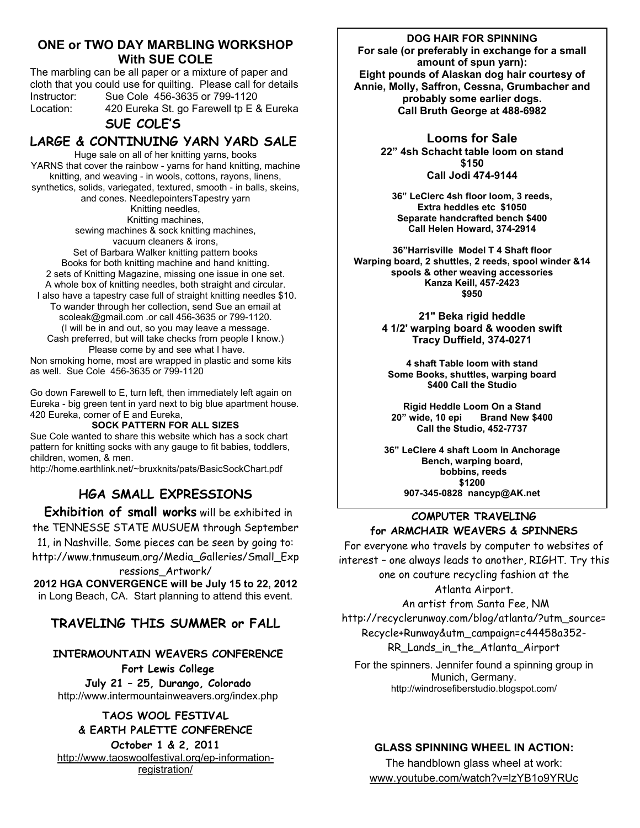# **ONE or TWO DAY MARBLING WORKSHOP With SUE COLE**

The marbling can be all paper or a mixture of paper and cloth that you could use for quilting. Please call for details Instructor: Sue Cole 456-3635 or 799-1120 Location: 420 Eureka St. go Farewell tp E & Eureka

#### **SUE COLE'S**

# **LARGE & CONTINUING YARN YARD SALE**

Huge sale on all of her knitting yarns, books YARNS that cover the rainbow - yarns for hand knitting, machine knitting, and weaving - in wools, cottons, rayons, linens, synthetics, solids, variegated, textured, smooth - in balls, skeins, and cones. NeedlepointersTapestry yarn Knitting needles, Knitting machines, sewing machines & sock knitting machines, vacuum cleaners & irons, Set of Barbara Walker knitting pattern books Books for both knitting machine and hand knitting. 2 sets of Knitting Magazine, missing one issue in one set. A whole box of knitting needles, both straight and circular. I also have a tapestry case full of straight knitting needles \$10. To wander through her collection, send Sue an email at scoleak@gmail.com .or call 456-3635 or 799-1120. (I will be in and out, so you may leave a message. Cash preferred, but will take checks from people I know.) Please come by and see what I have.

Non smoking home, most are wrapped in plastic and some kits as well. Sue Cole 456-3635 or 799-1120

Go down Farewell to E, turn left, then immediately left again on Eureka - big green tent in yard next to big blue apartment house. 420 Eureka, corner of E and Eureka,

#### **SOCK PATTERN FOR ALL SIZES**

Sue Cole wanted to share this website which has a sock chart pattern for knitting socks with any gauge to fit babies, toddlers, children, women, & men.

http://home.earthlink.net/~bruxknits/pats/BasicSockChart.pdf

# **HGA SMALL EXPRESSIONS**

 **Exhibition of small works** will be exhibited in

the TENNESSE STATE MUSUEM through September 11, in Nashville. Some pieces can be seen by going to: http://www.tnmuseum.org/Media\_Galleries/Small\_Exp

ressions\_Artwork/

**2012 HGA CONVERGENCE will be July 15 to 22, 2012**  in Long Beach, CA. Start planning to attend this event.

# **TRAVELING THIS SUMMER or FALL**

## **INTERMOUNTAIN WEAVERS CONFERENCE**

**Fort Lewis College July 21 – 25, Durango, Colorado** http://www.intermountainweavers.org/index.php

#### **TAOS WOOL FESTIVAL & EARTH PALETTE CONFERENCE**

**October 1 & 2, 2011**  http://www.taoswoolfestival.org/ep-informationregistration/

#### **DOG HAIR FOR SPINNING**

**For sale (or preferably in exchange for a small amount of spun yarn): Eight pounds of Alaskan dog hair courtesy of Annie, Molly, Saffron, Cessna, Grumbacher and probably some earlier dogs. Call Bruth George at 488-6982** 

> **Looms for Sale 22" 4sh Schacht table loom on stand \$150 Call Jodi 474-9144**

**36" LeClerc 4sh floor loom, 3 reeds, Extra heddles etc \$1050 Separate handcrafted bench \$400 Call Helen Howard, 374-2914** 

**36"Harrisville Model T 4 Shaft floor Warping board, 2 shuttles, 2 reeds, spool winder &14 spools & other weaving accessories Kanza Keill, 457-2423 \$950** 

> **21" Beka rigid heddle 4 1/2' warping board & wooden swift Tracy Duffield, 374-0271**

**4 shaft Table loom with stand Some Books, shuttles, warping board \$400 Call the Studio** 

**Rigid Heddle Loom On a Stand 20" wide, 10 epi Brand New \$400 Call the Studio, 452-7737** 

**36" LeClere 4 shaft Loom in Anchorage Bench, warping board, bobbins, reeds \$1200 907-345-0828 nancyp@AK.net** 

#### **COMPUTER TRAVELING for ARMCHAIR WEAVERS & SPINNERS**

For everyone who travels by computer to websites of interest – one always leads to another, RIGHT. Try this one on couture recycling fashion at the Atlanta Airport.

 An artist from Santa Fee, NM http://recyclerunway.com/blog/atlanta/?utm\_source= Recycle+Runway&utm\_campaign=c44458a352- RR\_Lands\_in\_the\_Atlanta\_Airport

For the spinners. Jennifer found a spinning group in Munich, Germany. http://windrosefiberstudio.blogspot.com/

#### **GLASS SPINNING WHEEL IN ACTION:**

The handblown glass wheel at work: www.youtube.com/watch?v=lzYB1o9YRUc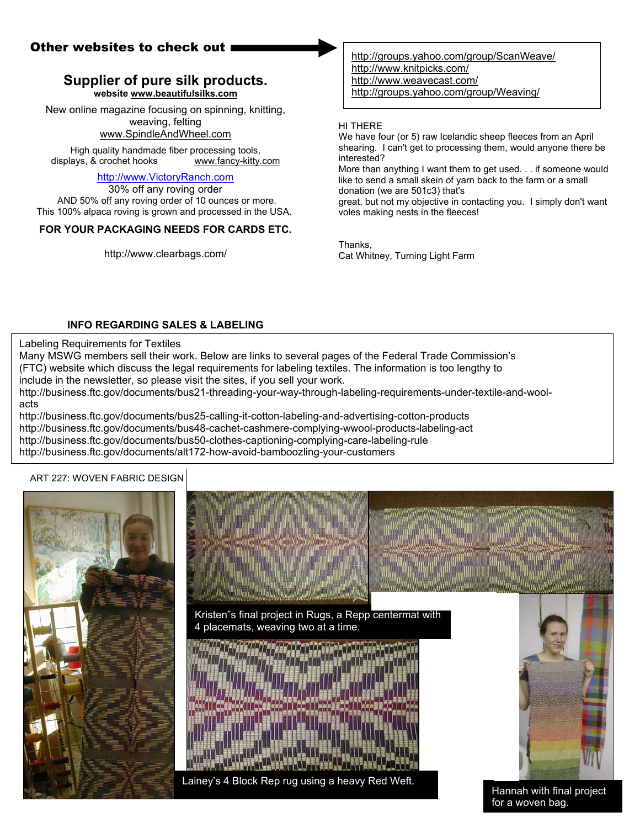# **Other websites to check out a**

# **Supplier of pure silk products.**

**website www.beautifulsilks.com**

New online magazine focusing on spinning, knitting, weaving, felting www.SpindleAndWheel.com

High quality handmade fiber processing tools,<br>lays, & crochet hooks www.fancy-kitty.com displays, & crochet hooks

#### http://www.VictoryRanch.com

30% off any roving order AND 50% off any roving order of 10 ounces or more. This 100% alpaca roving is grown and processed in the USA.

#### **FOR YOUR PACKAGING NEEDS FOR CARDS ETC.**

http://www.clearbags.com/

http://groups.yahoo.com/group/ScanWeave/ http://www.knitpicks.com/ http://www.weavecast.com/ http://groups.yahoo.com/group/Weaving/

#### HI THERE

We have four (or 5) raw Icelandic sheep fleeces from an April shearing. I can't get to processing them, would anyone there be interested?

More than anything I want them to get used. . . if someone would like to send a small skein of yarn back to the farm or a small donation (we are 501c3) that's

great, but not my objective in contacting you. I simply don't want voles making nests in the fleeces!

Thanks, Cat Whitney, Turning Light Farm

#### **INFO REGARDING SALES & LABELING**

Labeling Requirements for Textiles

Many MSWG members sell their work. Below are links to several pages of the Federal Trade Commission's (FTC) website which discuss the legal requirements for labeling textiles. The information is too lengthy to include in the newsletter, so please visit the sites, if you sell your work.

http://business.ftc.gov/documents/bus21-threading-your-way-through-labeling-requirements-under-textile-and-woolacts

http://business.ftc.gov/documents/bus25-calling-it-cotton-labeling-and-advertising-cotton-products http://business.ftc.gov/documents/bus48-cachet-cashmere-complying-wwool-products-labeling-act http://business.ftc.gov/documents/bus50-clothes-captioning-complying-care-labeling-rule http://business.ftc.gov/documents/alt172-how-avoid-bamboozling-your-customers

#### ART 227: WOVEN FABRIC DESIGN



for a woven bag.